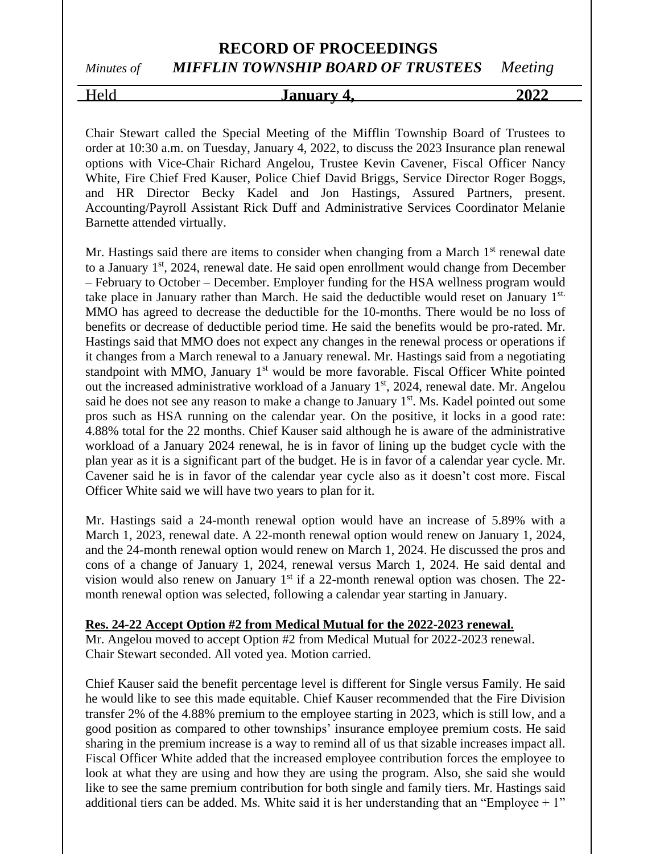### **RECORD OF PROCEEDINGS** *Minutes of MIFFLIN TOWNSHIP BOARD OF TRUSTEES Meeting*

## Held **January 4, 2022**

Chair Stewart called the Special Meeting of the Mifflin Township Board of Trustees to order at 10:30 a.m. on Tuesday, January 4, 2022, to discuss the 2023 Insurance plan renewal options with Vice-Chair Richard Angelou, Trustee Kevin Cavener, Fiscal Officer Nancy White, Fire Chief Fred Kauser, Police Chief David Briggs, Service Director Roger Boggs, and HR Director Becky Kadel and Jon Hastings, Assured Partners, present. Accounting/Payroll Assistant Rick Duff and Administrative Services Coordinator Melanie Barnette attended virtually.

Mr. Hastings said there are items to consider when changing from a March  $1<sup>st</sup>$  renewal date to a January 1<sup>st</sup>, 2024, renewal date. He said open enrollment would change from December – February to October – December. Employer funding for the HSA wellness program would take place in January rather than March. He said the deductible would reset on January 1st. MMO has agreed to decrease the deductible for the 10-months. There would be no loss of benefits or decrease of deductible period time. He said the benefits would be pro-rated. Mr. Hastings said that MMO does not expect any changes in the renewal process or operations if it changes from a March renewal to a January renewal. Mr. Hastings said from a negotiating standpoint with MMO, January  $1<sup>st</sup>$  would be more favorable. Fiscal Officer White pointed out the increased administrative workload of a January 1<sup>st</sup>, 2024, renewal date. Mr. Angelou said he does not see any reason to make a change to January 1<sup>st</sup>. Ms. Kadel pointed out some pros such as HSA running on the calendar year. On the positive, it locks in a good rate: 4.88% total for the 22 months. Chief Kauser said although he is aware of the administrative workload of a January 2024 renewal, he is in favor of lining up the budget cycle with the plan year as it is a significant part of the budget. He is in favor of a calendar year cycle. Mr. Cavener said he is in favor of the calendar year cycle also as it doesn't cost more. Fiscal Officer White said we will have two years to plan for it.

Mr. Hastings said a 24-month renewal option would have an increase of 5.89% with a March 1, 2023, renewal date. A 22-month renewal option would renew on January 1, 2024, and the 24-month renewal option would renew on March 1, 2024. He discussed the pros and cons of a change of January 1, 2024, renewal versus March 1, 2024. He said dental and vision would also renew on January  $1<sup>st</sup>$  if a 22-month renewal option was chosen. The 22month renewal option was selected, following a calendar year starting in January.

#### **Res. 24-22 Accept Option #2 from Medical Mutual for the 2022-2023 renewal.**

Mr. Angelou moved to accept Option #2 from Medical Mutual for 2022-2023 renewal. Chair Stewart seconded. All voted yea. Motion carried.

Chief Kauser said the benefit percentage level is different for Single versus Family. He said he would like to see this made equitable. Chief Kauser recommended that the Fire Division transfer 2% of the 4.88% premium to the employee starting in 2023, which is still low, and a good position as compared to other townships' insurance employee premium costs. He said sharing in the premium increase is a way to remind all of us that sizable increases impact all. Fiscal Officer White added that the increased employee contribution forces the employee to look at what they are using and how they are using the program. Also, she said she would like to see the same premium contribution for both single and family tiers. Mr. Hastings said additional tiers can be added. Ms. White said it is her understanding that an "Employee  $+1$ "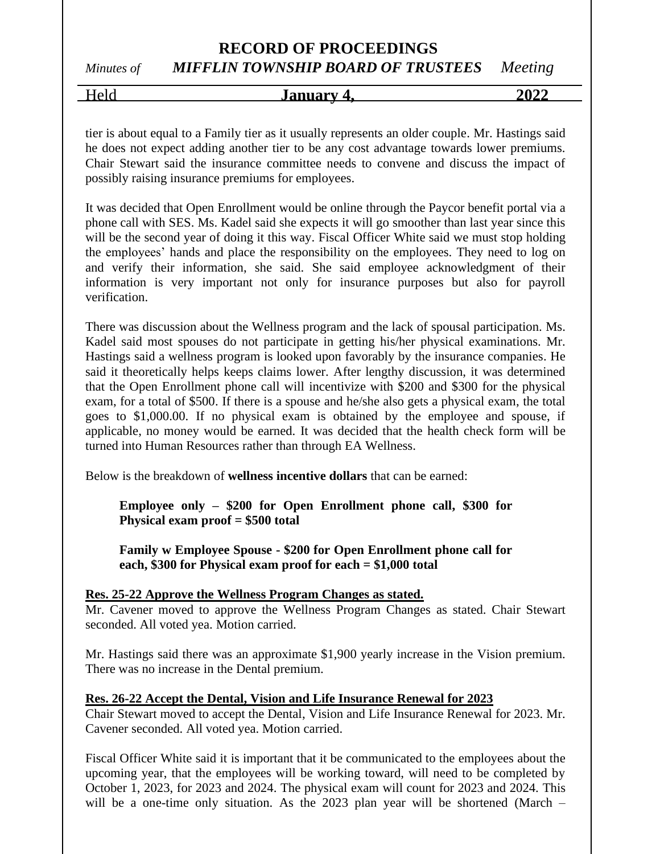### **RECORD OF PROCEEDINGS** *Minutes of MIFFLIN TOWNSHIP BOARD OF TRUSTEES Meeting*

Held **January 4, 2022**

tier is about equal to a Family tier as it usually represents an older couple. Mr. Hastings said he does not expect adding another tier to be any cost advantage towards lower premiums. Chair Stewart said the insurance committee needs to convene and discuss the impact of possibly raising insurance premiums for employees.

It was decided that Open Enrollment would be online through the Paycor benefit portal via a phone call with SES. Ms. Kadel said she expects it will go smoother than last year since this will be the second year of doing it this way. Fiscal Officer White said we must stop holding the employees' hands and place the responsibility on the employees. They need to log on and verify their information, she said. She said employee acknowledgment of their information is very important not only for insurance purposes but also for payroll verification.

There was discussion about the Wellness program and the lack of spousal participation. Ms. Kadel said most spouses do not participate in getting his/her physical examinations. Mr. Hastings said a wellness program is looked upon favorably by the insurance companies. He said it theoretically helps keeps claims lower. After lengthy discussion, it was determined that the Open Enrollment phone call will incentivize with \$200 and \$300 for the physical exam, for a total of \$500. If there is a spouse and he/she also gets a physical exam, the total goes to \$1,000.00. If no physical exam is obtained by the employee and spouse, if applicable, no money would be earned. It was decided that the health check form will be turned into Human Resources rather than through EA Wellness.

Below is the breakdown of **wellness incentive dollars** that can be earned:

**Employee only – \$200 for Open Enrollment phone call, \$300 for Physical exam proof = \$500 total**

**Family w Employee Spouse - \$200 for Open Enrollment phone call for each, \$300 for Physical exam proof for each = \$1,000 total**

#### **Res. 25-22 Approve the Wellness Program Changes as stated.**

Mr. Cavener moved to approve the Wellness Program Changes as stated. Chair Stewart seconded. All voted yea. Motion carried.

Mr. Hastings said there was an approximate \$1,900 yearly increase in the Vision premium. There was no increase in the Dental premium.

#### **Res. 26-22 Accept the Dental, Vision and Life Insurance Renewal for 2023**

Chair Stewart moved to accept the Dental, Vision and Life Insurance Renewal for 2023. Mr. Cavener seconded. All voted yea. Motion carried.

Fiscal Officer White said it is important that it be communicated to the employees about the upcoming year, that the employees will be working toward, will need to be completed by October 1, 2023, for 2023 and 2024. The physical exam will count for 2023 and 2024. This will be a one-time only situation. As the 2023 plan year will be shortened (March –